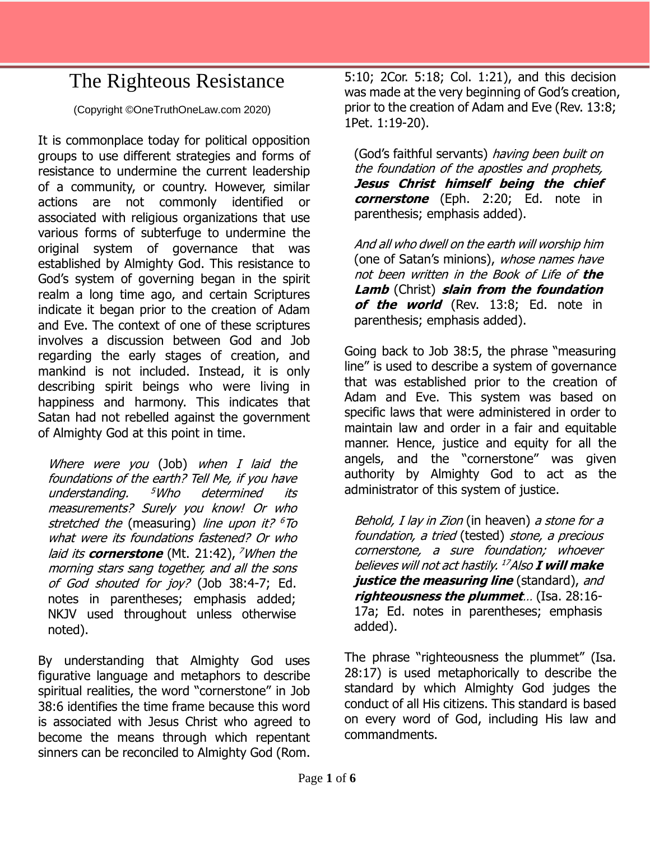## The Righteous Resistance

(Copyright ©OneTruthOneLaw.com 2020)

It is commonplace today for political opposition groups to use different strategies and forms of resistance to undermine the current leadership of a community, or country. However, similar actions are not commonly identified or associated with religious organizations that use various forms of subterfuge to undermine the original system of governance that was established by Almighty God. This resistance to God's system of governing began in the spirit realm a long time ago, and certain Scriptures indicate it began prior to the creation of Adam and Eve. The context of one of these scriptures involves a discussion between God and Job regarding the early stages of creation, and mankind is not included. Instead, it is only describing spirit beings who were living in happiness and harmony. This indicates that Satan had not rebelled against the government of Almighty God at this point in time.

Where were you (Job) when I laid the foundations of the earth? Tell Me, if you have understanding. <sup>5</sup>Who determined its measurements? Surely you know! Or who stretched the (measuring) line upon it? <sup>6</sup>To what were its foundations fastened? Or who laid its **cornerstone** (Mt. 21:42), <sup>7</sup>When the morning stars sang together, and all the sons of God shouted for joy? (Job 38:4-7; Ed. notes in parentheses; emphasis added; NKJV used throughout unless otherwise noted).

By understanding that Almighty God uses figurative language and metaphors to describe spiritual realities, the word "cornerstone" in Job 38:6 identifies the time frame because this word is associated with Jesus Christ who agreed to become the means through which repentant sinners can be reconciled to Almighty God (Rom. 5:10; 2Cor. 5:18; Col. 1:21), and this decision was made at the very beginning of God's creation, prior to the creation of Adam and Eve (Rev. 13:8; 1Pet. 1:19-20).

(God's faithful servants) having been built on the foundation of the apostles and prophets, **Jesus Christ himself being the chief cornerstone** (Eph. 2:20; Ed. note in parenthesis; emphasis added).

And all who dwell on the earth will worship him (one of Satan's minions), whose names have not been written in the Book of Life of **the Lamb** (Christ) **slain from the foundation**  of the world (Rev. 13:8; Ed. note in parenthesis; emphasis added).

Going back to Job 38:5, the phrase "measuring line" is used to describe a system of governance that was established prior to the creation of Adam and Eve. This system was based on specific laws that were administered in order to maintain law and order in a fair and equitable manner. Hence, justice and equity for all the angels, and the "cornerstone" was given authority by Almighty God to act as the administrator of this system of justice.

Behold, I lay in Zion (in heaven) a stone for a foundation, a tried (tested) stone, a precious cornerstone, a sure foundation; whoever believes will not act hastily. <sup>17</sup>Also **I will make**  *justice the measuring line* (standard), and **righteousness the plummet**… (Isa. 28:16- 17a; Ed. notes in parentheses; emphasis added).

The phrase "righteousness the plummet" (Isa. 28:17) is used metaphorically to describe the standard by which Almighty God judges the conduct of all His citizens. This standard is based on every word of God, including His law and commandments.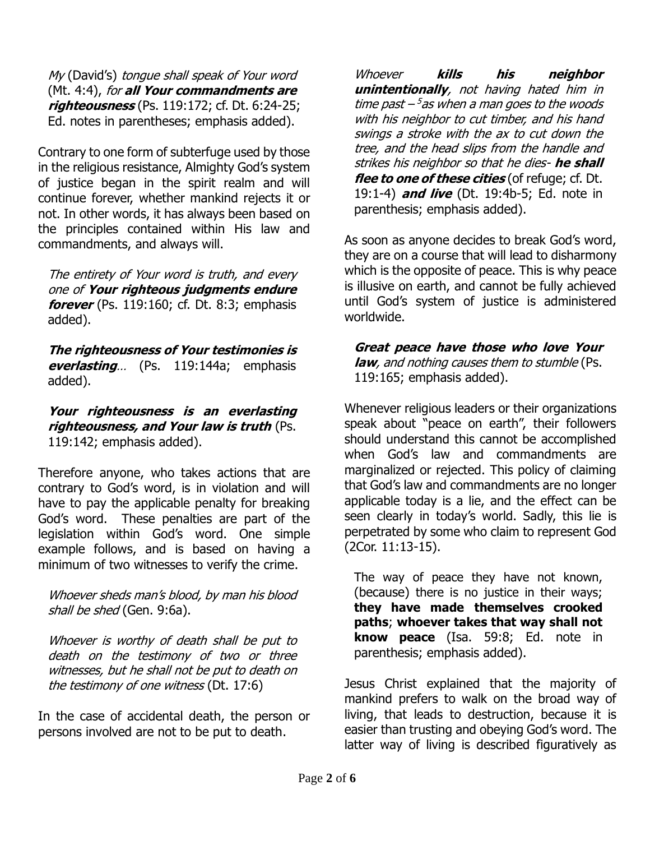My (David's) tongue shall speak of Your word (Mt. 4:4), for **all Your commandments are righteousness** (Ps. 119:172; cf. Dt. 6:24-25; Ed. notes in parentheses; emphasis added).

Contrary to one form of subterfuge used by those in the religious resistance, Almighty God's system of justice began in the spirit realm and will continue forever, whether mankind rejects it or not. In other words, it has always been based on the principles contained within His law and commandments, and always will.

The entirety of Your word is truth, and every one of **Your righteous judgments endure forever** (Ps. 119:160; cf. Dt. 8:3; emphasis added).

**The righteousness of Your testimonies is everlasting**… (Ps. 119:144a; emphasis added).

**Your righteousness is an everlasting righteousness, and Your law is truth** (Ps. 119:142; emphasis added).

Therefore anyone, who takes actions that are contrary to God's word, is in violation and will have to pay the applicable penalty for breaking God's word. These penalties are part of the legislation within God's word. One simple example follows, and is based on having a minimum of two witnesses to verify the crime.

Whoever sheds man's blood, by man his blood shall be shed (Gen. 9:6a).

Whoever is worthy of death shall be put to death on the testimony of two or three witnesses, but he shall not be put to death on the testimony of one witness (Dt. 17:6)

In the case of accidental death, the person or persons involved are not to be put to death.

Whoever **kills his neighbor unintentionally**, not having hated him in time past – <sup>5</sup> as when a man goes to the woods with his neighbor to cut timber, and his hand swings a stroke with the ax to cut down the tree, and the head slips from the handle and strikes his neighbor so that he dies- **he shall flee to one of these cities** (of refuge; cf. Dt. 19:1-4) **and live** (Dt. 19:4b-5; Ed. note in parenthesis; emphasis added).

As soon as anyone decides to break God's word, they are on a course that will lead to disharmony which is the opposite of peace. This is why peace is illusive on earth, and cannot be fully achieved until God's system of justice is administered worldwide.

**Great peace have those who love Your law**, and nothing causes them to stumble (Ps. 119:165; emphasis added).

Whenever religious leaders or their organizations speak about "peace on earth", their followers should understand this cannot be accomplished when God's law and commandments are marginalized or rejected. This policy of claiming that God's law and commandments are no longer applicable today is a lie, and the effect can be seen clearly in today's world. Sadly, this lie is perpetrated by some who claim to represent God (2Cor. 11:13-15).

The way of peace they have not known, (because) there is no justice in their ways; **they have made themselves crooked paths**; **whoever takes that way shall not know peace** (Isa. 59:8; Ed. note in parenthesis; emphasis added).

Jesus Christ explained that the majority of mankind prefers to walk on the broad way of living, that leads to destruction, because it is easier than trusting and obeying God's word. The latter way of living is described figuratively as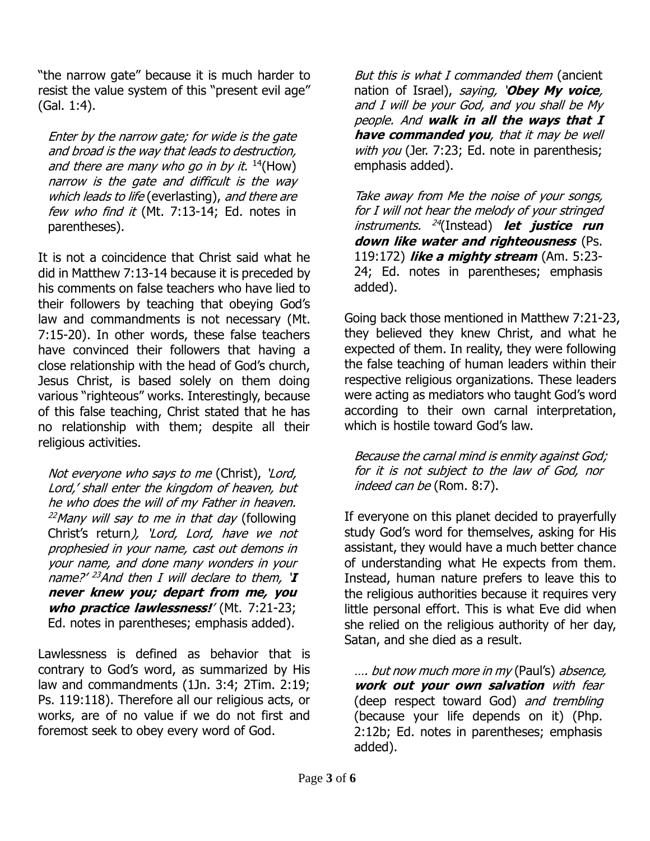"the narrow gate" because it is much harder to resist the value system of this "present evil age" (Gal. 1:4).

Enter by the narrow gate; for wide is the gate and broad is the way that leads to destruction, and there are many who go in by it.  $14$ (How) narrow is the gate and difficult is the way which leads to life (everlasting), and there are few who find it (Mt. 7:13-14; Ed. notes in parentheses).

It is not a coincidence that Christ said what he did in Matthew 7:13-14 because it is preceded by his comments on false teachers who have lied to their followers by teaching that obeying God's law and commandments is not necessary (Mt. 7:15-20). In other words, these false teachers have convinced their followers that having a close relationship with the head of God's church, Jesus Christ, is based solely on them doing various "righteous" works. Interestingly, because of this false teaching, Christ stated that he has no relationship with them; despite all their religious activities.

Not everyone who says to me (Christ), 'Lord, Lord,' shall enter the kingdom of heaven, but he who does the will of my Father in heaven.  $^{22}$ Many will say to me in that day (following Christ's return), 'Lord, Lord, have we not prophesied in your name, cast out demons in your name, and done many wonders in your name?' <sup>23</sup>And then I will declare to them, '**I never knew you; depart from me, you** who practice lawlessness!' (Mt. 7:21-23; Ed. notes in parentheses; emphasis added).

Lawlessness is defined as behavior that is contrary to God's word, as summarized by His law and commandments (1Jn. 3:4; 2Tim. 2:19; Ps. 119:118). Therefore all our religious acts, or works, are of no value if we do not first and foremost seek to obey every word of God.

But this is what I commanded them (ancient nation of Israel), saying, '**Obey My voice**, and I will be your God, and you shall be My people. And **walk in all the ways that I have commanded you**, that it may be well with you (Jer. 7:23; Ed. note in parenthesis; emphasis added).

Take away from Me the noise of your songs, for I will not hear the melody of your stringed instruments. 24 (Instead) **let justice run down like water and righteousness** (Ps. 119:172) **like a mighty stream** (Am. 5:23- 24; Ed. notes in parentheses; emphasis added).

Going back those mentioned in Matthew 7:21-23, they believed they knew Christ, and what he expected of them. In reality, they were following the false teaching of human leaders within their respective religious organizations. These leaders were acting as mediators who taught God's word according to their own carnal interpretation, which is hostile toward God's law.

Because the carnal mind is enmity against God; for it is not subject to the law of God, nor indeed can be (Rom. 8:7).

If everyone on this planet decided to prayerfully study God's word for themselves, asking for His assistant, they would have a much better chance of understanding what He expects from them. Instead, human nature prefers to leave this to the religious authorities because it requires very little personal effort. This is what Eve did when she relied on the religious authority of her day, Satan, and she died as a result.

…. but now much more in my (Paul's) absence, **work out your own salvation** with fear (deep respect toward God) and trembling (because your life depends on it) (Php. 2:12b; Ed. notes in parentheses; emphasis added).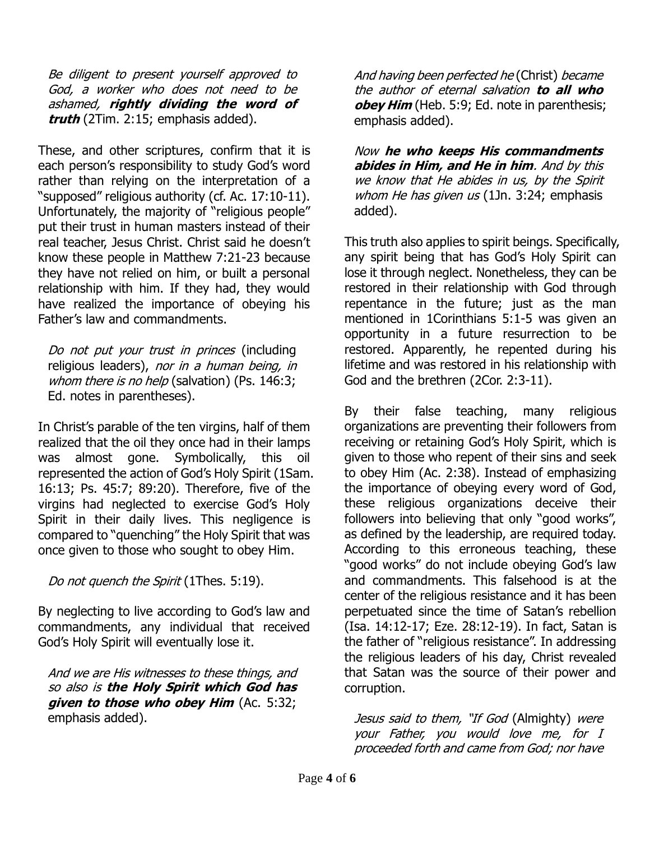Be diligent to present yourself approved to God, a worker who does not need to be ashamed, **rightly dividing the word of truth** (2Tim. 2:15; emphasis added).

These, and other scriptures, confirm that it is each person's responsibility to study God's word rather than relying on the interpretation of a "supposed" religious authority (cf. Ac. 17:10-11). Unfortunately, the majority of "religious people" put their trust in human masters instead of their real teacher, Jesus Christ. Christ said he doesn't know these people in Matthew 7:21-23 because they have not relied on him, or built a personal relationship with him. If they had, they would have realized the importance of obeying his Father's law and commandments.

Do not put your trust in princes (including religious leaders), nor in a human being, in whom there is no help (salvation) (Ps. 146:3; Ed. notes in parentheses).

In Christ's parable of the ten virgins, half of them realized that the oil they once had in their lamps was almost gone. Symbolically, this oil represented the action of God's Holy Spirit (1Sam. 16:13; Ps. 45:7; 89:20). Therefore, five of the virgins had neglected to exercise God's Holy Spirit in their daily lives. This negligence is compared to "quenching" the Holy Spirit that was once given to those who sought to obey Him.

Do not quench the Spirit (1Thes. 5:19).

By neglecting to live according to God's law and commandments, any individual that received God's Holy Spirit will eventually lose it.

And we are His witnesses to these things, and so also is **the Holy Spirit which God has given to those who obey Him** (Ac. 5:32; emphasis added).

And having been perfected he (Christ) became the author of eternal salvation **to all who obey Him** (Heb. 5:9; Ed. note in parenthesis; emphasis added).

Now **he who keeps His commandments abides in Him, and He in him**. And by this we know that He abides in us, by the Spirit whom He has given  $us(1)$ n. 3:24; emphasis added).

This truth also applies to spirit beings. Specifically, any spirit being that has God's Holy Spirit can lose it through neglect. Nonetheless, they can be restored in their relationship with God through repentance in the future; just as the man mentioned in 1Corinthians 5:1-5 was given an opportunity in a future resurrection to be restored. Apparently, he repented during his lifetime and was restored in his relationship with God and the brethren (2Cor. 2:3-11).

By their false teaching, many religious organizations are preventing their followers from receiving or retaining God's Holy Spirit, which is given to those who repent of their sins and seek to obey Him (Ac. 2:38). Instead of emphasizing the importance of obeying every word of God, these religious organizations deceive their followers into believing that only "good works", as defined by the leadership, are required today. According to this erroneous teaching, these "good works" do not include obeying God's law and commandments. This falsehood is at the center of the religious resistance and it has been perpetuated since the time of Satan's rebellion (Isa. 14:12-17; Eze. 28:12-19). In fact, Satan is the father of "religious resistance". In addressing the religious leaders of his day, Christ revealed that Satan was the source of their power and corruption.

Jesus said to them, "If God (Almighty) were your Father, you would love me, for I proceeded forth and came from God; nor have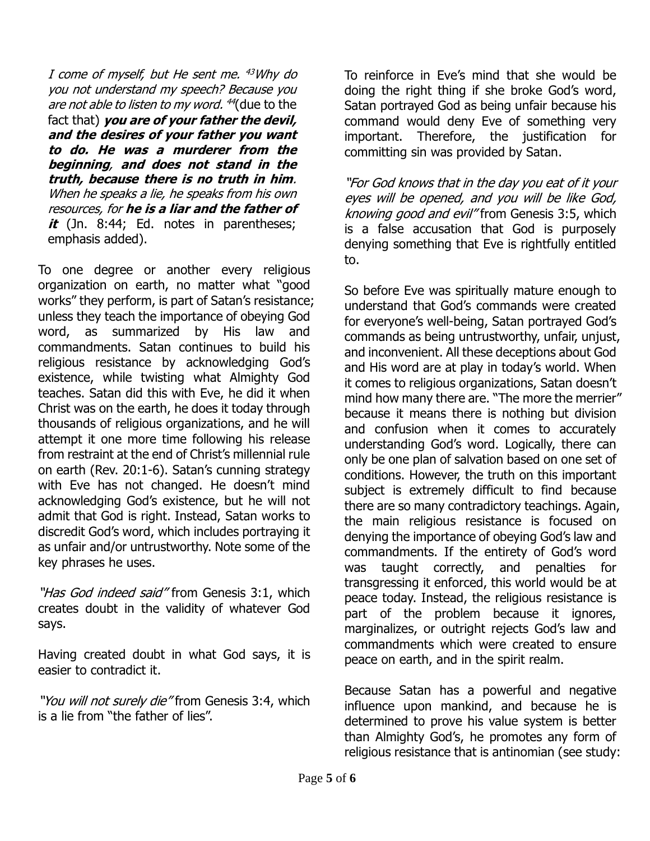I come of myself, but He sent me. <sup>43</sup>Why do you not understand my speech? Because you *are not able to listen to my word. <sup>44</sup>*(due to the fact that) **you are of your father the devil, and the desires of your father you want to do. He was a murderer from the beginning**, **and does not stand in the truth, because there is no truth in him**. When he speaks a lie, he speaks from his own resources, for **he is a liar and the father of**  it (Jn. 8:44; Ed. notes in parentheses; emphasis added).

To one degree or another every religious organization on earth, no matter what "good works" they perform, is part of Satan's resistance; unless they teach the importance of obeying God word, as summarized by His law and commandments. Satan continues to build his religious resistance by acknowledging God's existence, while twisting what Almighty God teaches. Satan did this with Eve, he did it when Christ was on the earth, he does it today through thousands of religious organizations, and he will attempt it one more time following his release from restraint at the end of Christ's millennial rule on earth (Rev. 20:1-6). Satan's cunning strategy with Eve has not changed. He doesn't mind acknowledging God's existence, but he will not admit that God is right. Instead, Satan works to discredit God's word, which includes portraying it as unfair and/or untrustworthy. Note some of the key phrases he uses.

"Has God indeed said" from Genesis 3:1, which creates doubt in the validity of whatever God says.

Having created doubt in what God says, it is easier to contradict it.

"You will not surely die" from Genesis 3:4, which is a lie from "the father of lies".

To reinforce in Eve's mind that she would be doing the right thing if she broke God's word, Satan portrayed God as being unfair because his command would deny Eve of something very important. Therefore, the justification for committing sin was provided by Satan.

"For God knows that in the day you eat of it your eyes will be opened, and you will be like God, knowing good and evil" from Genesis 3:5, which is a false accusation that God is purposely denying something that Eve is rightfully entitled to.

So before Eve was spiritually mature enough to understand that God's commands were created for everyone's well-being, Satan portrayed God's commands as being untrustworthy, unfair, unjust, and inconvenient. All these deceptions about God and His word are at play in today's world. When it comes to religious organizations, Satan doesn't mind how many there are. "The more the merrier" because it means there is nothing but division and confusion when it comes to accurately understanding God's word. Logically, there can only be one plan of salvation based on one set of conditions. However, the truth on this important subject is extremely difficult to find because there are so many contradictory teachings. Again, the main religious resistance is focused on denying the importance of obeying God's law and commandments. If the entirety of God's word was taught correctly, and penalties for transgressing it enforced, this world would be at peace today. Instead, the religious resistance is part of the problem because it ignores, marginalizes, or outright rejects God's law and commandments which were created to ensure peace on earth, and in the spirit realm.

Because Satan has a powerful and negative influence upon mankind, and because he is determined to prove his value system is better than Almighty God's, he promotes any form of religious resistance that is antinomian (see study: